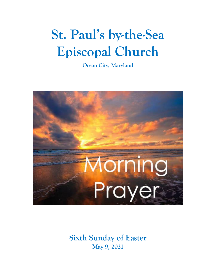# **St. Paul's by-the-Sea Episcopal Church**

**Ocean City, Maryland**



**Sixth Sunday of Easter May 9, 2021**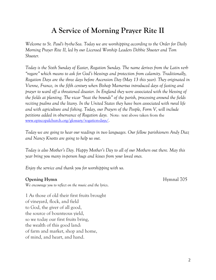## **A Service of Morning Prayer Rite II**

*Welcome to St. Paul's by-the-Sea. Today we are worshipping according to the Order for Daily Morning Prayer Rite II, led by our Licensed Worship Leaders Debbie Shuster and Tom Shuster.*

*Today is the Sixth Sunday of Easter, Rogation Sunday. The name derives from the Latin verb "rogare" which means to ask for God's blessings and protection from calamity. Traditionally, Rogation Days are the three days before Ascension Day (May 13 this year). They originated in Vienne, France, in the fifth century when Bishop Mamertus introduced days of fasting and prayer to ward off a threatened disaster. In England they were associated with the blessing of the fields at planting. The vicar "beat the bounds" of the parish, processing around the fields reciting psalms and the litany. In the United States they have been associated with rural life and with agriculture and fishing. Today, our Prayers of the People, Form V, will include petitions added in observance of Rogation days.* Note: text above taken from the [www.episcopalchurch.org/glossary/rogation-days/.](http://www.episcopalchurch.org/glossary/rogation-days/)

*Today we are going to hear our readings in two languages. Our fellow parishioners Andy Diaz and Nancy Knotts are going to help us out.*

*Today is also Mother's Day. Happy Mother's Day to all of our Mothers out there. May this year bring you many in-person hugs and kisses from your loved ones.*

*Enjoy the service and thank you for worshipping with us.*

#### **Opening Hymn** Hymnal 705

*We encourage you to reflect on the music and the lyrics*.

1 As those of old their first fruits brought of vineyard, flock, and field to God, the giver of all good, the source of bounteous yield, so we today our first fruits bring, the wealth of this good land: of farm and market, shop and home, of mind, and heart, and hand.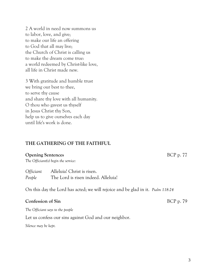2 A world in need now summons us to labor, love, and give; to make our life an offering to God that all may live; the Church of Christ is calling us to make the dream come true: a world redeemed by Christ-like love, all life in Christ made new.

3 With gratitude and humble trust we bring our best to thee, to serve thy cause and share thy love with all humanity. O thou who gavest us thyself in Jesus Christ thy Son, help us to give ourselves each day until life's work is done.

#### **THE GATHERING OF THE FAITHFUL**

#### **Opening Sentences** BCP p. 77

*The Officiant(s) begin the service:*

*Officiant* Alleluia! Christ is risen. *People* The Lord is risen indeed. Alleluia!

On this day the Lord has acted; we will rejoice and be glad in it. *Psalm 118:24*

#### **Confession of Sin** BCP p. 79

*The Officiant says to the people*

Let us confess our sins against God and our neighbor.

*Silence may be kept.*

3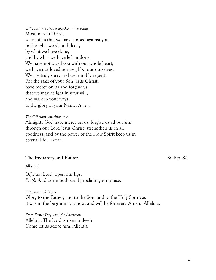*Officiant and People together, all kneeling* Most merciful God, we confess that we have sinned against you in thought, word, and deed, by what we have done, and by what we have left undone. We have not loved you with our whole heart; we have not loved our neighbors as ourselves. We are truly sorry and we humbly repent. For the sake of your Son Jesus Christ, have mercy on us and forgive us; that we may delight in your will, and walk in your ways, to the glory of your Name. *Amen*.

*The Officiant, kneeling, says* Almighty God have mercy on us, forgive us all our sins through our Lord Jesus Christ, strengthen us in all goodness, and by the power of the Holy Spirit keep us in eternal life. *Amen***.**

#### **The Invitatory and Psalter** BCP p. 80

*All stand*

*Officiant* Lord, open our lips. *People* And our mouth shall proclaim your praise.

*Officiant and People* Glory to the Father, and to the Son, and to the Holy Spirit: as it was in the beginning, is now, and will be for ever. Amen. Alleluia.

*From Easter Day until the Ascension* Alleluia. The Lord is risen indeed: Come let us adore him. Alleluia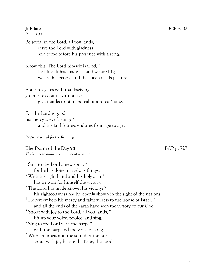#### **Jubilate** BCP p. 82

*Psalm 100*

Be joyful in the Lord, all you lands; \* serve the Lord with gladness and come before his presence with a song.

Know this: The Lord himself is God; \* he himself has made us, and we are his; we are his people and the sheep of his pasture.

Enter his gates with thanksgiving; go into his courts with praise; \* give thanks to him and call upon his Name.

For the Lord is good; his mercy is everlasting; \* and his faithfulness endures from age to age.

*Please be seated for the Readings*

#### **The Psalm of the Day 98** BCP p. 727

*The leader to announce manner of recitation*

1 Sing to the Lord a new song, \* for he has done marvelous things. <sup>2</sup> With his right hand and his holy arm \* has he won for himself the victory. <sup>3</sup> The Lord has made known his victory; \* his righteousness has he openly shown in the sight of the nations. <sup>4</sup> He remembers his mercy and faithfulness to the house of Israel,  $*$ and all the ends of the earth have seen the victory of our God. <sup>5</sup> Shout with joy to the Lord, all you lands; \* lift up your voice, rejoice, and sing. 6 Sing to the Lord with the harp, \* with the harp and the voice of song. <sup>7</sup> With trumpets and the sound of the horn  $*$ shout with joy before the King, the Lord.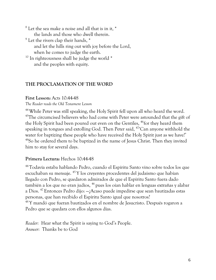$8$  Let the sea make a noise and all that is in it,  $*$ the lands and those who dwell therein.  $9$  Let the rivers clap their hands,  $*$ and let the hills ring out with joy before the Lord, when he comes to judge the earth.  $10$  In righteousness shall he judge the world  $*$ and the peoples with equity.

#### **THE PROCLAMATION OF THE WORD**

#### **First Lesson:** Acts 10:44-48

*The Reader reads the Old Testament Lesson* 

<sup>44</sup> While Peter was still speaking, the Holy Spirit fell upon all who heard the word. <sup>45</sup>The circumcised believers who had come with Peter were astounded that the gift of the Holy Spirit had been poured out even on the Gentiles, <sup>46</sup>for they heard them speaking in tongues and extolling God. Then Peter said, <sup>47</sup>'Can anyone withhold the water for baptizing these people who have received the Holy Spirit just as we have?' <sup>48</sup>So he ordered them to be baptized in the name of Jesus Christ. Then they invited him to stay for several days.

#### **Primera Lectura:** Hechos 10:44-48

<sup>44</sup>Todavía estaba hablando Pedro, cuando el Espíritu Santo vino sobre todos los que escuchaban su mensaje. <sup>45</sup> Y los creyentes procedentes del judaísmo que habían llegado con Pedro, se quedaron admirados de que el Espíritu Santo fuera dado también a los que no eran judíos, <sup>46</sup> pues los oían hablar en lenguas extrañas y alabar a Dios. <sup>47</sup> Entonces Pedro dijo: —¿Acaso puede impedirse que sean bautizadas estas personas, que han recibido el Espíritu Santo igual que nosotros? <sup>48</sup> Y mandó que fueran bautizados en el nombre de Jesucristo. Después rogaron a Pedro que se quedara con ellos algunos días.

*Reader:* Hear what the Spirit is saying to God's People. *Answer:* Thanks be to God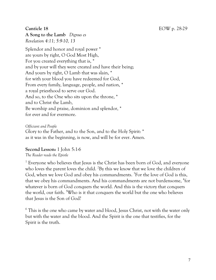**A Song to the Lamb** *Dignus es Revelation 4:11; 5:9-10, 13*

Splendor and honor and royal power \* are yours by right, O God Most High, For you created everything that is, \* and by your will they were created and have their being; And yours by right, O Lamb that was slain, \* for with your blood you have redeemed for God, From every family, language, people, and nation, \* a royal priesthood to serve our God. And so, to the One who sits upon the throne, \* and to Christ the Lamb, Be worship and praise, dominion and splendor, \* for ever and for evermore.

*Officiant and People* Glory to the Father, and to the Son, and to the Holy Spirit: \* as it was in the beginning, is now, and will be for ever. Amen.

#### **Second Lesson:** 1 John 5:1-6

*The Reader reads the Epistle*

<sup>1</sup> Everyone who believes that Jesus is the Christ has been born of God, and everyone who loves the parent loves the child. <sup>2</sup>By this we know that we love the children of God, when we love God and obey his commandments. <sup>3</sup>For the love of God is this, that we obey his commandments. And his commandments are not burdensome, <sup>4</sup>for whatever is born of God conquers the world. And this is the victory that conquers the world, our faith. <sup>5</sup>Who is it that conquers the world but the one who believes that Jesus is the Son of God?

 $6$  This is the one who came by water and blood, Jesus Christ, not with the water only but with the water and the blood. And the Spirit is the one that testifies, for the Spirit is the truth.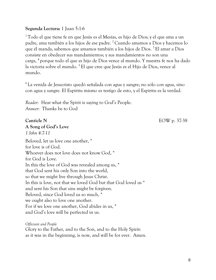#### **Segunda Lectura:** 1 Juan 5:1-6

<sup>1</sup> Todo el que tiene fe en que Jesús es el Mesías, es hijo de Dios; y el que ama a un padre, ama también a los hijos de ese padre. <sup>2</sup> Cuando amamos a Dios y hacemos lo que él manda, sabemos que amamos también a los hijos de Dios. <sup>3</sup> El amar a Dios consiste en obedecer sus mandamientos; y sus mandamientos no son una carga, <sup>4</sup> porque todo el que es hijo de Dios vence al mundo. Y nuestra fe nos ha dado la victoria sobre el mundo. <sup>5</sup> El que cree que Jesús es el Hijo de Dios, vence al mundo.

<sup>6</sup> La venida de Jesucristo quedó señalada con agua y sangre; no sólo con agua, sino con agua y sangre. El Espíritu mismo es testigo de esto, y el Espíritu es la verdad.

*Reader:* Hear what the Spirit is saying to God's People. *Answer:* Thanks be to God

**A Song of God's Love**

*1 John 4:7-11*

**Canticle N** EOW p. 37-38

Beloved, let us love one another, \* for love is of God. Whoever does not love does not know God, \* for God is Love. In this the love of God was revealed among us, \* that God sent his only Son into the world, so that we might live through Jesus Christ. In this is love, not that we loved God but that God loved us \* and sent his Son that sins might be forgiven. Beloved, since God loved us so much, \* we ought also to love one another. For if we love one another, God abides in us, \* and God's love will be perfected in us.

*Officiant and People*

Glory to the Father, and to the Son, and to the Holy Spirit: as it was in the beginning, is now, and will be for ever. Amen.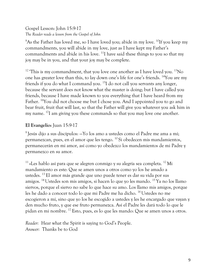Gospel Lesson: John 15:9-17 *The Reader reads a lesson from the Gospel of John*

<sup>9</sup>As the Father has loved me, so I have loved you; abide in my love. <sup>10</sup>If you keep my commandments, you will abide in my love, just as I have kept my Father's commandments and abide in his love.  $^{11}$ I have said these things to you so that my joy may be in you, and that your joy may be complete.

<sup>12</sup> This is my commandment, that you love one another as I have loved you. <sup>13</sup>No one has greater love than this, to lay down one's life for one's friends. <sup>14</sup>You are my friends if you do what I command you.<sup>15</sup>I do not call you servants any longer, because the servant does not know what the master is doing; but I have called you friends, because I have made known to you everything that I have heard from my Father. <sup>16</sup>You did not choose me but I chose you. And I appointed you to go and bear fruit, fruit that will last, so that the Father will give you whatever you ask him in my name. <sup>17</sup>I am giving you these commands so that you may love one another.

### **El Evangelio:** Juan 15:9-17

 $^{9}$  Jesús dijo a sus discípulos:  $-$ Yo los amo a ustedes como el Padre me ama a mí; permanezcan, pues, en el amor que les tengo. <sup>10</sup> Si obedecen mis mandamientos, permanecerán en mi amor, así como yo obedezco los mandamientos de mi Padre y permanezco en su amor.

 $11$ »Les hablo así para que se alegren conmigo y su alegría sea completa.  $12$  Mi mandamiento es este: Que se amen unos a otros como yo los he amado a ustedes. <sup>13</sup> El amor más grande que uno puede tener es dar su vida por sus amigos. <sup>14</sup>Ustedes son mis amigos, si hacen lo que yo les mando. <sup>15</sup> Ya no los llamo siervos, porque el siervo no sabe lo que hace su amo. Los llamo mis amigos, porque les he dado a conocer todo lo que mi Padre me ha dicho. <sup>16</sup> Ustedes no me escogieron a mí, sino que yo los he escogido a ustedes y les he encargado que vayan y den mucho fruto, y que ese fruto permanezca. Así el Padre les dará todo lo que le pidan en mi nombre. <sup>17</sup> Esto, pues, es lo que les mando: Que se amen unos a otros.

*Reader:* Hear what the Spirit is saying to God's People. *Answer:* Thanks be to God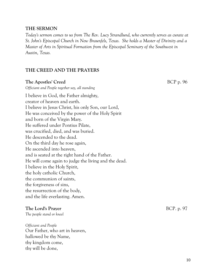#### **THE SERMON**

*Today's sermon comes to us from The Rev. Lucy Strandlund, who currently serves as curate at St. John's Episcopal Church in New Braunfels, Texas. She holds a Master of Divinity and a Master of Arts in Spiritual Formation from the Episcopal Seminary of the Southwest in Austin, Texas.*

#### **THE CREED AND THE PRAYERS**

#### **The Apostles' Creed** BCP p. 96

*Officiant and People together say, all standing* 

I believe in God, the Father almighty, creator of heaven and earth. I believe in Jesus Christ, his only Son, our Lord, He was conceived by the power of the Holy Spirit and born of the Virgin Mary. He suffered under Pontius Pilate, was crucified, died, and was buried. He descended to the dead. On the third day he rose again, He ascended into heaven, and is seated at the right hand of the Father. He will come again to judge the living and the dead. I believe in the Holy Spirit, the holy catholic Church, the communion of saints, the forgiveness of sins, the resurrection of the body, and the life everlasting. Amen.

#### **The Lord's Prayer** BCP. p. 97

*The people stand or kneel*

*Officiant and People*  Our Father, who art in heaven, hallowed be thy Name, thy kingdom come, thy will be done,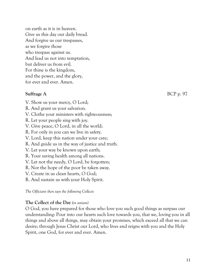on earth as it is in heaven. Give us this day our daily bread. And forgive us our trespasses, as we forgive those who trespass against us. And lead us not into temptation, but deliver us from evil. For thine is the kingdom, and the power, and the glory, for ever and ever. Amen.

#### **Suffrage A** BCP p. 97

- V. Show us your mercy, O Lord;
- R. And grant us your salvation.
- V. Clothe your ministers with righteousness;
- R. Let your people sing with joy.
- V. Give peace, O Lord, in all the world;
- R. For only in you can we live in safety.
- V. Lord, keep this nation under your care;
- R. And guide us in the way of justice and truth.
- V. Let your way be known upon earth;
- R. Your saving health among all nations.
- V. Let not the needy, O Lord, be forgotten;
- R. Nor the hope of the poor be taken away.
- V. Create in us clean hearts, O God;
- R. And sustain us with your Holy Spirit.

*The Officiant then says the following Collects*

#### **The Collect of the Day** (*in unison)*

O God, you have prepared for those who love you such good things as surpass our understanding: Pour into our hearts such love towards you, that we, loving you in all things and above all things, may obtain your promises, which exceed all that we can desire; through Jesus Christ our Lord, who lives and reigns with you and the Holy Spirit, one God, for ever and ever. Amen.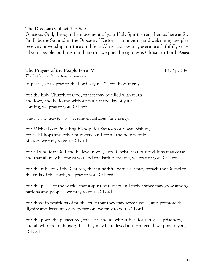#### **The Diocesan Collect** *(in unison)*

Gracious God, through the movement of your Holy Spirit, strengthen us here at St. Paul's by-the-Sea and in the Diocese of Easton as an inviting and welcoming people; receive our worship, nurture our life in Christ that we may evermore faithfully serve all your people, both near and far; this we pray through Jesus Christ our Lord. *Amen.*

#### **The Prayers of the People Form V** BCP p. 389

*The Leader and People pray responsively*

In peace, let us pray to the Lord, saying, "Lord, have mercy"

For the holy Church of God, that it may be filled with truth and love, and be found without fault at the day of your coming, we pray to you, O Lord.

*Here and after every petition the People respond Lord, have mercy.*

For Michael our Presiding Bishop, for Santosh our own Bishop, for all bishops and other ministers, and for all the holy people of God, we pray to you, O Lord.

For all who fear God and believe in you, Lord Christ, that our divisions may cease, and that all may be one as you and the Father are one, we pray to you, O Lord.

For the mission of the Church, that in faithful witness it may preach the Gospel to the ends of the earth, we pray to you, O Lord.

For the peace of the world, that a spirit of respect and forbearance may grow among nations and peoples, we pray to you, O Lord.

For those in positions of public trust that they may serve justice, and promote the dignity and freedom of every person, we pray to you, O Lord.

For the poor, the persecuted, the sick, and all who suffer; for refugees, prisoners, and all who are in danger; that they may be relieved and protected, we pray to you, O Lord.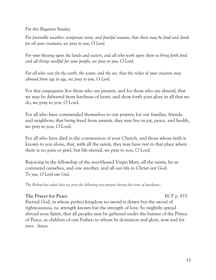*For this Rogation Sunday:*

*For favorable weather, temperate rains, and fruitful seasons, that there may be food and drink for all your creatures, we pray to you, O Lord.*

*For your blessing upon the lands and waters, and all who work upon them to bring forth food and all things needful for your people, we pray to you, O Lord.*

*For all who care for the earth, the water, and the air, that the riches of your creation may abound from age to age, we pray to you, O Lord.*

For this *congregation* [for those who are present, and for those who are absent], that we may be delivered from hardness of heart, and show forth your glory in all that we do, we pray to you, O Lord.

For all who have commended themselves to our prayers; for our families, friends, and neighbors; that being freed from anxiety, they may live in joy, peace, and health, we pray to you, O Lord.

For all who have died in the communion of your Church, and those whose faith is known to you alone, that, with all the saints, they may have rest in that place where there is no pain or grief, but life eternal, we pray to you, O Lord.

Rejoicing in the fellowship of the ever-blessed Virgin Mary, all the saints, let us commend ourselves, and one another, and all our life to Christ our God. *To you, O Lord our God.*

*The Bishop has asked that we pray the following two prayers during this time of pandemic:*

#### **The Prayer for Peace** BCP p. 815

Eternal God, in whose perfect kingdom no sword is drawn but the sword of righteousness, no strength known but the strength of love: So mightily spread abroad your Spirit, that all peoples may be gathered under the banner of the Prince of Peace, as children of one Father; to whom be dominion and glory, now and for ever. *Amen.*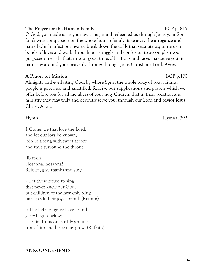#### **The Prayer for the Human Family** BCP p. 815

O God, you made us in your own image and redeemed us through Jesus your Son: Look with compassion on the whole human family; take away the arrogance and hatred which infect our hearts; break down the walls that separate us; unite us in bonds of love; and work through our struggle and confusion to accomplish your purposes on earth; that, in your good time, all nations and races may serve you in harmony around your heavenly throne; through Jesus Christ our Lord. *Amen.*

#### **A Prayer for Mission** BCP p.100

Almighty and everlasting God, by whose Spirit the whole body of your faithful people is governed and sanctified: Receive our supplications and prayers which we offer before you for all members of your holy Church, that in their vocation and ministry they may truly and devoutly serve you; through our Lord and Savior Jesus Christ. *Amen.*

1 Come, we that love the Lord, and let our joys be known; join in a song with sweet accord, and thus surround the throne.

[Refrain:] Hosanna, hosanna! Rejoice, give thanks and sing.

2 Let those refuse to sing that never knew our God; but children of the heavenly King may speak their joys abroad. (Refrain)

3 The heirs of grace have found glory begun below; celestial fruits on earthly ground from faith and hope may grow. (Refrain)

#### **ANNOUNCEMENTS**

**Hymnal** 392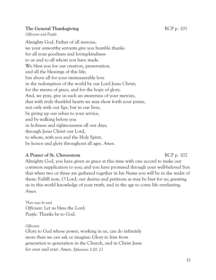#### **The General Thanksgiving Example 2018** BCP p. 101

*Officiant and People*

Almighty God, Father of all mercies, we your unworthy servants give you humble thanks for all your goodness and loving-kindness to us and to all whom you have made. We bless you for our creation, preservation, and all the blessings of this life; but above all for your immeasurable love in the redemption of the world by our Lord Jesus Christ; for the means of grace, and for the hope of glory. And, we pray, give us such an awareness of your mercies, that with truly thankful hearts we may show forth your praise, not only with our lips, but in our lives, by giving up our selves to your service, and by walking before you in holiness and righteousness all our days; through Jesus Christ our Lord, to whom, with you and the Holy Spirit, be honor and glory throughout all ages. *Amen.*

#### **A Prayer of St. Chrysostom** BCP p. 102

Almighty God, you have given us grace at this time with one accord to make our common supplication to you; and you have promised through your well-beloved Son that when two or three are gathered together in his Name you will be in the midst of them: Fulfill now, O Lord, our desires and petitions as may be best for us; granting us in this world knowledge of your truth, and in the age to come life everlasting. *Amen.*

*Then may be said Officiant:* Let us bless the Lord. *People:* Thanks be to God.

*Officiant*

Glory to God whose power, working in us, can do infinitely more than we can ask or imagine: Glory to him from generation to generation in the Church, and in Christ Jesus for ever and ever. *Amen*. *Ephesians 3:20, 21*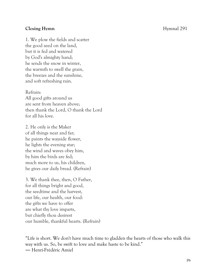#### **Closing Hymn** Hymnal 291

1. We plow the fields and scatter the good seed on the land, but it is fed and watered by God's almighty hand; he sends the snow in winter, the warmth to swell the grain, the breezes and the sunshine, and soft refreshing rain.

Refrain: All good gifts around us are sent from heaven above; then thank the Lord, O thank the Lord for all his love.

2. He only is the Maker of all things near and far; he paints the wayside flower, he lights the evening star; the wind and waves obey him, by him the birds are fed; much more to us, his children, he gives our daily bread. (Refrain)

3. We thank thee, then, O Father, for all things bright and good, the seedtime and the harvest, our life, our health, our food: the gifts we have to offer are what thy love imparts, but chiefly thou desirest our humble, thankful hearts. (Refrain)

"Life is short. We don't have much time to gladden the hearts of those who walk this way with us. So, be swift to love and make haste to be kind." ― Henri-Frédéric Amiel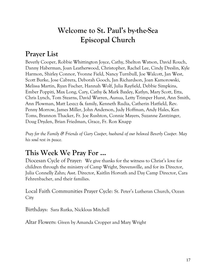## **Welcome to St. Paul's by-the-Sea Episcopal Church**

## **Prayer List**

Beverly Cooper, Robbie Whittington Joyce, Cathy, Shelton Watson, David Rouch, Danny Haberman, Joan Leatherwood, Christopher, Rachel Lee, Cindy Dreslin, Kyle Harmon, Shirley Connor, Yvonne Field, Nancy Turnbull, Joe Walcott, Jan West, Scott Burke, Jose Cabrera, Deborah Gooch, Jan Richardson, Joan Kamorowski, Melissa Martin, Ryan Fischer, Hannah Wolf, Julia Rayfield, Debbie Simpkins, Ember Poppiti, Max Long, Cary, Cathy & Mark Baxley, Katlyn, Mary Scott, Etta, Chris Lynch, Tom Stearns, David Warren, Aunua, Letty Trimper Hurst, Ann Smith, Ann Plowman, Matt Leszcz & family, Kenneth Rudia, Catherin Hatfield, Rev. Penny Morrow, James Miller, John Anderson, Judy Hoffman, Andy Hales, Ken Toms, Brannon Thacker, Fr. Joe Rushton, Connie Mayers, Suzanne Zantzinger, Doug Dryden, Brian Friedman, Grace, Fr. Ron Knapp

*Pray for the Family & Friends of Gary Cooper, husband of our beloved Beverly Cooper. May his soul rest in peace.*

## **This Week We Pray For ...**

Diocesan Cycle of Prayer: We give thanks for the witness to Christ's love for children through the ministry of Camp Wright, Stevensville, and for its Director, Julia Connelly Zahn; Asst. Director, Kaitlin Horvath and Day Camp Director, Cara Fehrenbacher, and their families.

Local Faith Communities Prayer Cycle: St. Peter's Lutheran Church, Ocean **City** 

Birthdays: Sara Rutka, Nicklous Mitchell

Altar Flowers: Given by Amanda Cropper and Mary Wright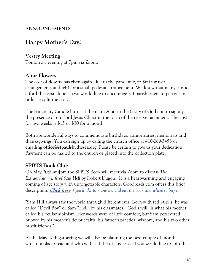### **ANNOUNCEMENTS**

### **Happy Mother's Day!**

### **Vestry Meeting**

Tomorrow evening at 7pm via Zoom.

### **Altar Flowers**

The cost of flowers has risen again, due to the pandemic, to \$60 for two arrangements and \$40 for a small pedestal arrangement. We know that many cannot afford this cost alone, so we would like to encourage 2-3 parishioners to partner in order to split the cost.

The Sanctuary Candle burns at the main Altar to the Glory of God and to signify the presence of our lord Jesus Christ in the form of the reserve sacrament. The cost for two weeks is \$15 or \$30 for a month.

Both are wonderful ways to commemorate birthdays, anniversaries, memorials and thanksgivings. You can sign up by calling the church office at 410-289-3453 or emailing **[office@stpaulsbythesea.org](mailto:office@stpaulsbythesea.org)**. Please be certain to give us your dedication. Payment can be mailed to the church or placed into the collection plate.

### **SPBTS Book Club**

On May 20th at 4pm the SPBTS Book will meet via Zoom to discuss *The Extraordinary Life of Sam Hell* by Robert Dugoni. It is a heartwarming and engaging coming of age story with unforgettable characters. Goodreads.com offers this brief description. **[Click here](https://www.goodreads.com/book/show/35995489-the-extraordinary-life-of-sam-hell)** *if you'd like to know more about the book and where to buy it.*

"Sam Hill always saw the world through different eyes. Born with red pupils, he was called "Devil Boy" or Sam "Hell" by his classmates; "God's will" is what his mother called his ocular albinism. Her words were of little comfort, but Sam persevered, buoyed by his mother's devout faith, his father's practical wisdom, and his two other misfit friends."

At the May 20th gathering we will also be planning the next couple of months, which books to read and who will lead the discussions. If you would like to join the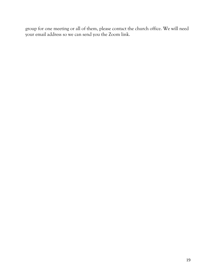group for one meeting or all of them, please contact the church office. We will need your email address so we can send you the Zoom link.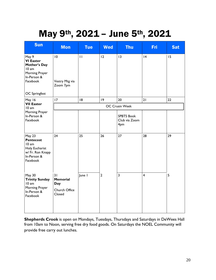## May 9th, 2021 – June 5th, 2021

| <b>Sun</b>                                                                                           | <b>Mon</b>                                              | <b>Tue</b>   | <b>Wed</b>     | <b>Thu</b>                                | <b>Fri</b>     | <b>Sat</b> |
|------------------------------------------------------------------------------------------------------|---------------------------------------------------------|--------------|----------------|-------------------------------------------|----------------|------------|
| May 9<br><b>VI Easter</b><br>Mother's Day<br>10 am<br>Morning Prayer<br>In-Person &<br>Facebook      | 10<br>Vestry Mtg via<br>Zoom 7pm                        | $\mathbf{H}$ | 12             | 13                                        | 4              | 15         |
| <b>OC</b> Springfest                                                                                 |                                                         |              |                |                                           |                |            |
| May 16<br><b>VII Easter</b><br>10 am<br>Morning Prayer<br>In-Person &<br>Facebook                    | 17                                                      | 18           | 9              | 20                                        | 21             | 22         |
|                                                                                                      | OC Crusin Week                                          |              |                |                                           |                |            |
|                                                                                                      |                                                         |              |                | <b>SPBTS Book</b><br>Club via Zoom<br>4pm |                |            |
| May 23<br><b>Pentecost</b><br>10 am<br>Holy Eucharist<br>w/ Fr. Ron Knapp<br>In-Person &<br>Facebook | 24                                                      | 25           | 26             | 27                                        | 28             | 29         |
| May 30<br><b>Trinity Sunday</b><br>10 am<br>Morning Prayer<br>In-Person &<br>Facebook                | 31<br><b>Memorial</b><br>Day<br>Church Office<br>Closed | June I       | $\overline{2}$ | 3                                         | $\overline{4}$ | 5          |

**Shepherds Crook** is open on Mondays, Tuesdays, Thursdays and Saturdays in DeWees Hall from 10am to Noon, serving free dry food goods. On Saturdays the NOEL Community will provide free carry out lunches.